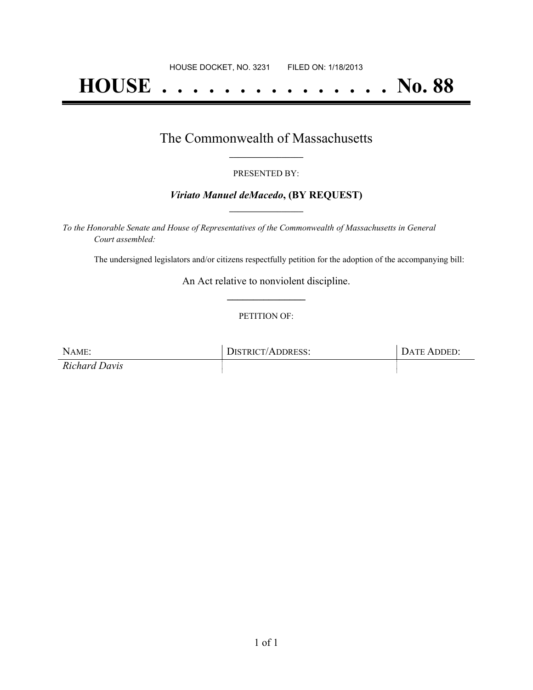# **HOUSE . . . . . . . . . . . . . . . No. 88**

### The Commonwealth of Massachusetts **\_\_\_\_\_\_\_\_\_\_\_\_\_\_\_\_\_**

#### PRESENTED BY:

#### *Viriato Manuel deMacedo***, (BY REQUEST) \_\_\_\_\_\_\_\_\_\_\_\_\_\_\_\_\_**

*To the Honorable Senate and House of Representatives of the Commonwealth of Massachusetts in General Court assembled:*

The undersigned legislators and/or citizens respectfully petition for the adoption of the accompanying bill:

An Act relative to nonviolent discipline. **\_\_\_\_\_\_\_\_\_\_\_\_\_\_\_**

#### PETITION OF:

| NAME:                | <b>DISTRICT/ADDRESS:</b> | DATE ADDED: |
|----------------------|--------------------------|-------------|
| <b>Richard Davis</b> |                          |             |